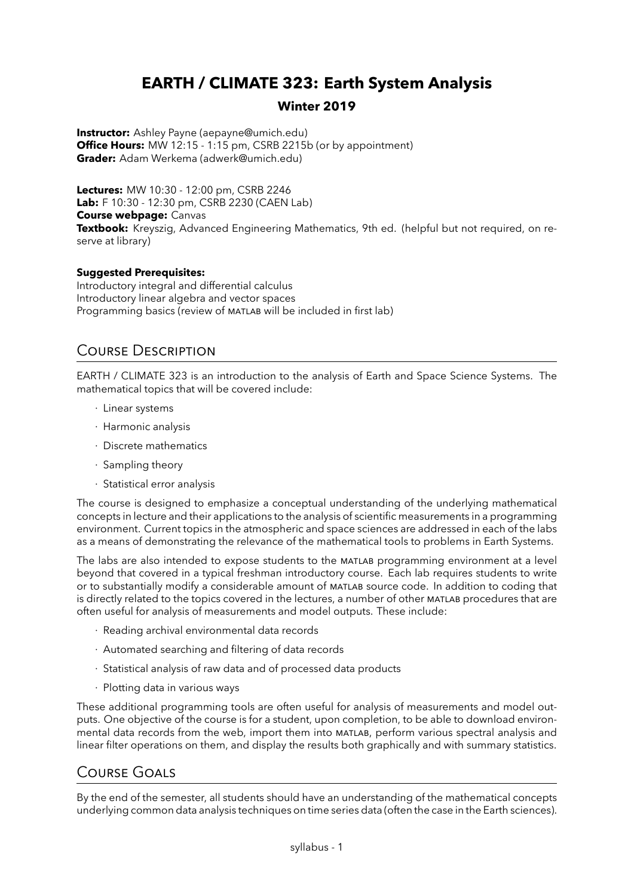# **EARTH / CLIMATE 323: Earth System Analysis**

#### **Winter 2019**

**Instructor:** Ashley Payne (aepayne@umich.edu) **Office Hours:** MW 12:15 - 1:15 pm, CSRB 2215b (or by appointment) **Grader:** Adam Werkema (adwerk@umich.edu)

**Lectures:** MW 10:30 - 12:00 pm, CSRB 2246 **Lab:** F 10:30 - 12:30 pm, CSRB 2230 (CAEN Lab) **Course webpage:** Canvas **Textbook:** Kreyszig, Advanced Engineering Mathematics, 9th ed. (helpful but not required, on reserve at library)

#### **Suggested Prerequisites:**

Introductory integral and differential calculus Introductory linear algebra and vector spaces Programming basics (review of MATLAB will be included in first lab)

## Course Description

EARTH / CLIMATE 323 is an introduction to the analysis of Earth and Space Science Systems. The mathematical topics that will be covered include:

- · Linear systems
- · Harmonic analysis
- · Discrete mathematics
- · Sampling theory
- · Statistical error analysis

The course is designed to emphasize a conceptual understanding of the underlying mathematical concepts in lecture and their applications to the analysis of scientific measurements in a programming environment. Current topics in the atmospheric and space sciences are addressed in each of the labs as a means of demonstrating the relevance of the mathematical tools to problems in Earth Systems.

The labs are also intended to expose students to the matlab programming environment at a level beyond that covered in a typical freshman introductory course. Each lab requires students to write or to substantially modify a considerable amount of matlab source code. In addition to coding that is directly related to the topics covered in the lectures, a number of other matlab procedures that are often useful for analysis of measurements and model outputs. These include:

- · Reading archival environmental data records
- · Automated searching and filtering of data records
- · Statistical analysis of raw data and of processed data products
- · Plotting data in various ways

These additional programming tools are often useful for analysis of measurements and model outputs. One objective of the course is for a student, upon completion, to be able to download environmental data records from the web, import them into matlab, perform various spectral analysis and linear filter operations on them, and display the results both graphically and with summary statistics.

### Course Goals

By the end of the semester, all students should have an understanding of the mathematical concepts underlying common data analysis techniques on time series data (often the case in the Earth sciences).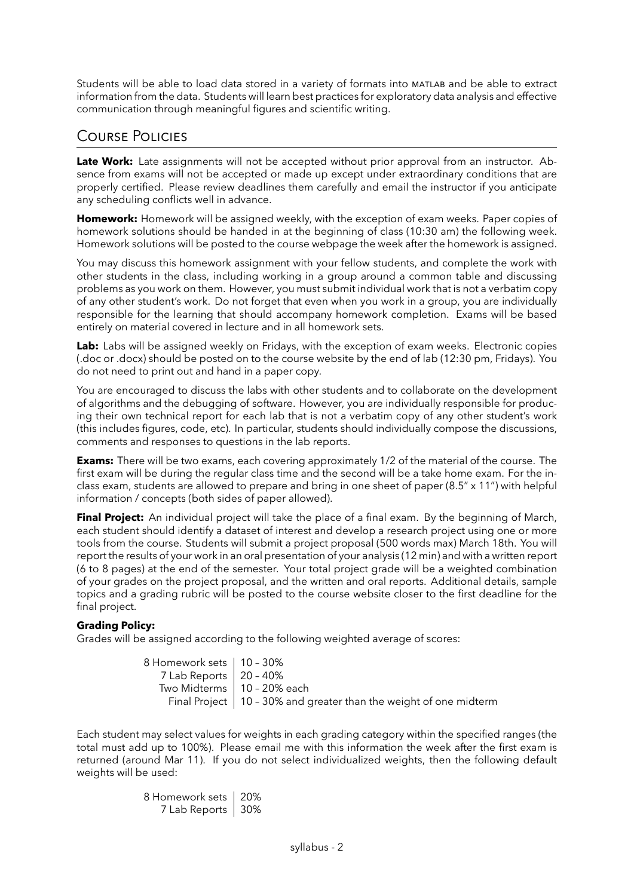Students will be able to load data stored in a variety of formats into matlab and be able to extract information from the data. Students will learn best practices for exploratory data analysis and effective communication through meaningful figures and scientific writing.

### Course Policies

**Late Work:** Late assignments will not be accepted without prior approval from an instructor. Absence from exams will not be accepted or made up except under extraordinary conditions that are properly certified. Please review deadlines them carefully and email the instructor if you anticipate any scheduling conflicts well in advance.

**Homework:** Homework will be assigned weekly, with the exception of exam weeks. Paper copies of homework solutions should be handed in at the beginning of class (10:30 am) the following week. Homework solutions will be posted to the course webpage the week after the homework is assigned.

You may discuss this homework assignment with your fellow students, and complete the work with other students in the class, including working in a group around a common table and discussing problems as you work on them. However, you must submit individual work that is not a verbatim copy of any other student's work. Do not forget that even when you work in a group, you are individually responsible for the learning that should accompany homework completion. Exams will be based entirely on material covered in lecture and in all homework sets.

Lab: Labs will be assigned weekly on Fridays, with the exception of exam weeks. Electronic copies (.doc or .docx) should be posted on to the course website by the end of lab (12:30 pm, Fridays). You do not need to print out and hand in a paper copy.

You are encouraged to discuss the labs with other students and to collaborate on the development of algorithms and the debugging of software. However, you are individually responsible for producing their own technical report for each lab that is not a verbatim copy of any other student's work (this includes figures, code, etc). In particular, students should individually compose the discussions, comments and responses to questions in the lab reports.

**Exams:** There will be two exams, each covering approximately 1/2 of the material of the course. The first exam will be during the regular class time and the second will be a take home exam. For the inclass exam, students are allowed to prepare and bring in one sheet of paper (8.5" x 11") with helpful information / concepts (both sides of paper allowed).

**Final Project:** An individual project will take the place of a final exam. By the beginning of March, each student should identify a dataset of interest and develop a research project using one or more tools from the course. Students will submit a project proposal (500 words max) March 18th. You will report the results of your work in an oral presentation of your analysis (12 min) and with a written report (6 to 8 pages) at the end of the semester. Your total project grade will be a weighted combination of your grades on the project proposal, and the written and oral reports. Additional details, sample topics and a grading rubric will be posted to the course website closer to the first deadline for the final project.

#### **Grading Policy:**

Grades will be assigned according to the following weighted average of scores:

8 Homework sets | 10 - 30% 7 Lab Reports 20 – 40% Two Midterms  $\vert$  10 - 20% each Final Project  $\vert$  10 - 30% and greater than the weight of one midterm

Each student may select values for weights in each grading category within the specified ranges (the total must add up to 100%). Please email me with this information the week after the first exam is returned (around Mar 11). If you do not select individualized weights, then the following default weights will be used:

> 8 Homework sets | 20% 7 Lab Reports | 30%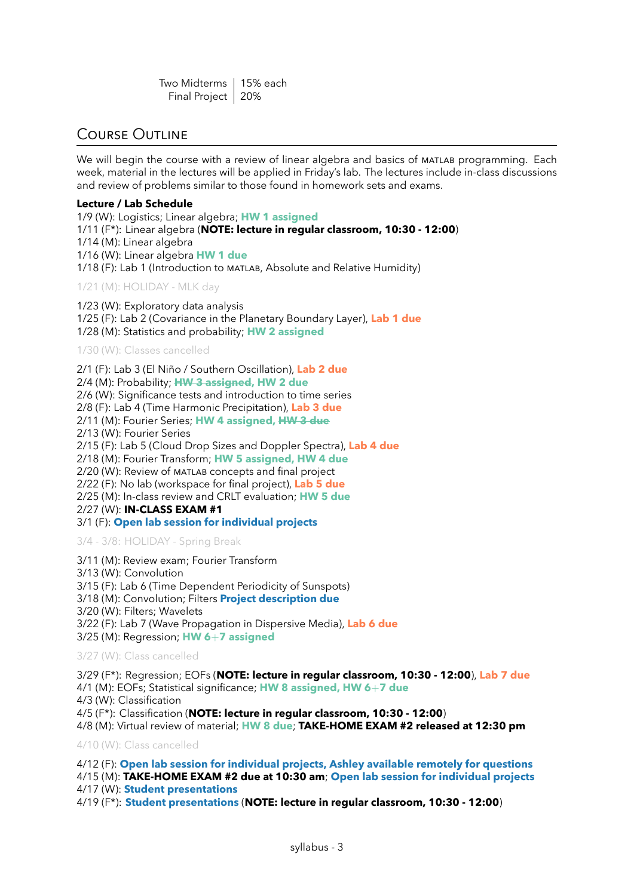| Two Midterms   15% each |  |
|-------------------------|--|
| Final Project   20%     |  |

### Course Outline

We will begin the course with a review of linear algebra and basics of MATLAB programming. Each week, material in the lectures will be applied in Friday's lab. The lectures include in-class discussions and review of problems similar to those found in homework sets and exams.

#### **Lecture / Lab Schedule**

1/9 (W): Logistics; Linear algebra; **HW 1 assigned** 1/11 (F\*): Linear algebra (**NOTE: lecture in regular classroom, 10:30 - 12:00**) 1/14 (M): Linear algebra 1/16 (W): Linear algebra **HW 1 due** 1/18 (F): Lab 1 (Introduction to matlab, Absolute and Relative Humidity)

1/21 (M): HOLIDAY - MLK day

1/23 (W): Exploratory data analysis 1/25 (F): Lab 2 (Covariance in the Planetary Boundary Layer), **Lab 1 due** 1/28 (M): Statistics and probability; **HW 2 assigned**

1/30 (W): Classes cancelled

2/1 (F): Lab 3 (El Niño / Southern Oscillation), **Lab 2 due** 2/4 (M): Probability; **HW 3 assigned, HW 2 due** 2/6 (W): Significance tests and introduction to time series 2/8 (F): Lab 4 (Time Harmonic Precipitation), **Lab 3 due** 2/11 (M): Fourier Series; **HW 4 assigned, HW 3 due** 2/13 (W): Fourier Series 2/15 (F): Lab 5 (Cloud Drop Sizes and Doppler Spectra), **Lab 4 due** 2/18 (M): Fourier Transform; **HW 5 assigned, HW 4 due** 2/20 (W): Review of matlab concepts and final project 2/22 (F): No lab (workspace for final project), **Lab 5 due** 2/25 (M): In-class review and CRLT evaluation; **HW 5 due** 2/27 (W): **IN-CLASS EXAM #1** 3/1 (F): **Open lab session for individual projects**

3/4 - 3/8: HOLIDAY - Spring Break

- 3/11 (M): Review exam; Fourier Transform
- 3/13 (W): Convolution

3/15 (F): Lab 6 (Time Dependent Periodicity of Sunspots)

- 3/18 (M): Convolution; Filters **Project description due**
- 3/20 (W): Filters; Wavelets

3/22 (F): Lab 7 (Wave Propagation in Dispersive Media), **Lab 6 due**

3/25 (M): Regression; **HW 6**+**7 assigned**

3/27 (W): Class cancelled

3/29 (F\*): Regression; EOFs (**NOTE: lecture in regular classroom, 10:30 - 12:00**), **Lab 7 due**

- 4/1 (M): EOFs; Statistical significance; **HW 8 assigned, HW 6**+**7 due**
- 4/3 (W): Classification

4/5 (F\*): Classification (**NOTE: lecture in regular classroom, 10:30 - 12:00**)

4/8 (M): Virtual review of material; **HW 8 due**; **TAKE-HOME EXAM #2 released at 12:30 pm**

4/10 (W): Class cancelled

4/12 (F): **Open lab session for individual projects, Ashley available remotely for questions** 4/15 (M): **TAKE-HOME EXAM #2 due at 10:30 am**; **Open lab session for individual projects** 4/17 (W): **Student presentations**

4/19 (F\*): **Student presentations** (**NOTE: lecture in regular classroom, 10:30 - 12:00**)